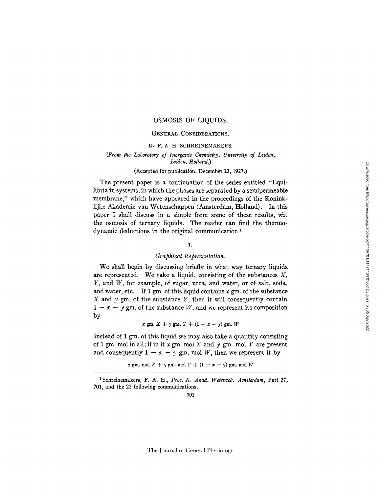#### GENERAL CONSIDERATIONS.

#### BY F. A. H. SCHREINEMAKERS.

## *(From the Laboratory oJ Inorganic Chemistry, University of Leiden~ Leiden. Holland.)*

## (Accepted for publication, December 23, 1927.)

The present paper is a continuation of the series entitled "Equilibria in systems, in which the phases are separated by a semipermeable membrane," which have appeared in the proceedings of the Koninklijke Akademie van Wetenschappen (Amsterdam, Holland). In this paper I shall discuss in a simple form some of these results, *viz.*  the osmosis of ternary liquids. The reader can find the thermodynamic deductions in the original communication. 1

## 1.

# *Graphical Representation.*

We shall begin by discussing briefly in what way ternary liquids are represented. We take a liquid, consisting of the substances  $X$ , Y, and W, for example, of sugar, urea, and water, or of salt, soda, and water, etc. If 1 gm. of this liquid contains  $x$  gm. of the substance  $X$  and  $y$  gm. of the substance  $Y$ , then it will consequently contain  $1 - x - y$  gm. of the substance W, and we represent its composition by

 $x \text{ gm. } X + y \text{ gm. } Y + (1-x-y) \text{ gm. } W$ 

Instead of 1 gm. of this liquid we may also take a quantity consisting of 1 gm. mol in all; if in it x gm. mol X and  $\gamma$  gm. mol Y are present and consequently  $1 - x - y$  gm. mol W, then we represent it by

x gm. mol  $X + y$  gm. mol  $Y + (1 - x - y)$  gm. mol W

x Schreinemakers, F. A. H., *Proc. K. Akad. Wetemck. Amsterdam,* Part 27, 701, and the 22 following communications.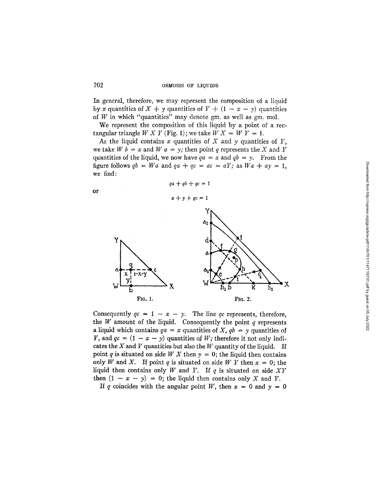In general, therefore, we may represent the composition of a liquid by x quantities of  $X + y$  quantities of  $Y + (1 - x - y)$  quantities of  $W$  in which "quantities" may denote gm. as well as gm. mol.

We represent the composition of this liquid by a point of a rectangular triangle  $W X Y$  (Fig. 1); we take  $W X = W Y = 1$ .

As the liquid contains  $x$  quantities of  $X$  and  $y$  quantities of  $Y$ , we take  $W b = x$  and  $W a = y$ ; then point q represents the X and Y quantities of the liquid, we now have  $qa = x$  and  $qb = y$ . From the figure follows  $qb = Wa$  and  $qa + qc = ac = aY$ ; as  $Wa + ay = 1$ , we find:

$$
qa + qb + qc = 1
$$

$$
\mathsf{or}\quad
$$



Consequently  $qc = 1 - x - y$ . The line *qc* represents, therefore, the  $W$  amount of the liquid. Consequently the point  $q$  represents a liquid which contains  $qa = x$  quantities of  $X$ ,  $qb = y$  quantities of Y, and  $qc = (1 - x - y)$  quantities of W; therefore it not only indicates the  $X$  and  $Y$  quantities but also the  $W$  quantity of the liquid. If point q is situated on side W X then  $y = 0$ ; the liquid then contains only W and X. If point q is situated on side W Y then  $x = 0$ ; the liquid then contains only  $W$  and  $Y$ . If  $q$  is situated on side  $XY$ then  $(1 - x - y) = 0$ ; the liquid then contains only X and Y.

If q coincides with the angular point W, then  $x = 0$  and  $y = 0$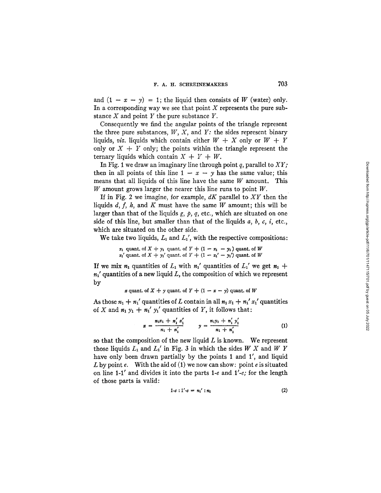and  $(1 - x - y) = 1$ ; the liquid then consists of W (water) only. In a corresponding way we see that point  $X$  represents the pure substance  $X$  and point  $Y$  the pure substance  $Y$ .

Consequently we find the angular points of the triangle represent the three pure substances, W, X, and *Y:* the sides represent binary liquids, *viz.* liquids which contain either  $W + X$  only or  $W + Y$ only or  $X + Y$  only; the points within the triangle represent the ternary liquids which contain  $X + Y + W$ .

In Fig. 1 we draw an imaginary line through point q, parallel to *XY;*  then in all points of this line  $1 - x - y$  has the same value; this means that all liquids of this line have the same  $W$  amount. This W amount grows larger the nearer this line runs to point  $W$ .

If in Fig. 2 we imagine, for example, *dK* parallel to *XY* then the liquids  $d, f, h$ , and K must have the same W amount; this will be larger than that of the liquids  $g$ ,  $p$ ,  $q$ , etc., which are situated on one side of this line, but smaller than that of the liquids  $a, b, c, i$ , etc., which are situated on the other side.

We take two liquids,  $L_1$  and  $L_1'$ , with the respective compositions:

 $x_1$  quant, of  $X + y_1$  quant, of  $Y + (1 - x_1 - y_1)$  quant, of W  $x_1'$  quant, of  $X + y_1'$  quant, of  $Y + (1 - x_1' - y_1')$  quant, of W

If we mix  $n_1$  quantities of  $L_1$  with  $n_1'$  quantities of  $L_1'$  we get  $n_1 +$  $n_1$ ' quantities of a new liquid L, the composition of which we represent by

x quant. of 
$$
X + y
$$
 quant. of  $Y + (1 - x - y)$  quant. of W

As those  $n_1 + n_1'$  quantities of L contain in all  $n_1 x_1 + n_1' x_1'$  quantities of X and  $n_1 y_1 + n_1' y_1'$  quantities of Y, it follows that:

$$
x = \frac{n_1 x_1 + n'_1 x'_1}{n_1 + n'_1} \qquad y = \frac{n_1 y_1 + n'_1 y'_1}{n_1 + n'_1} \tag{1}
$$

so that the composition of the new liquid  $L$  is known. We represent those liquids  $L_1$  and  $L_1'$  in Fig. 3 in which the sides W X and W Y have only been drawn partially by the points 1 and 1', and liquid L by point e. With the aid of (1) we now can show: point e is situated on line 1-1' and divides it into the parts 1-e and *l'-e;* for the length of those parts is valid:

$$
1-e:1'-e = n_1':n_1
$$
 (2)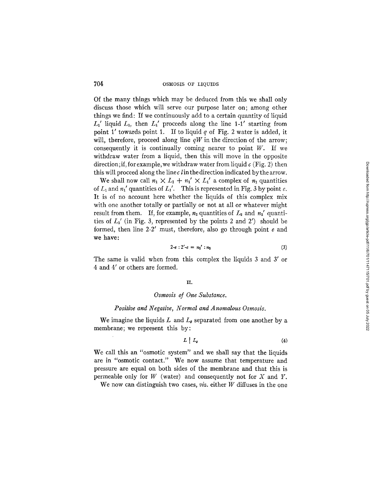Of the many things which may be deduced from this we shall only discuss those which will serve our purpose later on; among other things we find: If we continuously add to a certain quantity of liquid  $L_1'$  liquid  $L_1$ , then  $L_1'$  proceeds along the line 1-1' starting from point 1' towards point 1. If to liquid  $q$  of Fig. 2 water is added, it will, therefore, proceed along line *qW* in the direction of the arrow; consequently it is continually coming nearer to point  $W$ . If we withdraw water from a liquid, then this will move in the opposite direction; if, for example, we withdraw water from liquid  $c$  (Fig. 2) then this will proceed along the line  $c \cdot l$  in the direction indicated by the arrow.

We shall now call  $n_1 \times L_1 + n_1' \times L_1'$  a complex of  $n_1$  quantities of  $L_1$  and  $n_1'$  quantities of  $L_1'$ . This is represented in Fig. 3 by point e. It is of no account here whether the liquids of this complex mix with one another totally or partially or not at all or whatever might result from them. If, for example,  $n_2$  quantities of  $L_2$  and  $n_2$  quantities of  $L_2'$  (in Fig. 3, represented by the points 2 and 2') should be formed, then line  $2-2'$  must, therefore, also go through point  $e$  and we have:

$$
2-e:2'-e = n_2':n_2 \tag{3}
$$

The same is valid when from this complex the liquids 3 and 3' or 4 and 4' or others are formed.

#### II.

#### *Osmosis of One Substance.*

## *Positive and Negative, Normal and Anomalous Osmosis.*

We imagine the liquids L and  $L_{g}$  separated from one another by a membrane; we represent this by:

$$
L \mid L_g \tag{4}
$$

We call this an "osmotic system" and we shall say that the liquids are in "osmotic contact." We now assume that temperature and pressure are equal on both sides of the membrane and that this is permeable only for  $W$  (water) and consequently not for  $X$  and  $Y$ .

We now can distinguish two cases, *viz.* either W diffuses in the one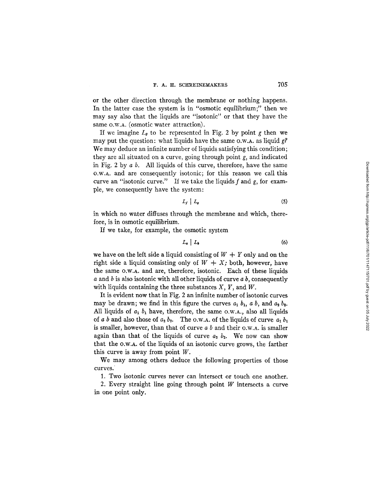or the other direction through the membrane or nothing happens. In the latter case the system is in "osmotic equilibrium;" then we may say also that the liquids are "isotonic" or that they have the same O.W.A. (osmotic water attraction).

If we imagine  $L_{\theta}$  to be represented in Fig. 2 by point g then we may put the question: what liquids have the same o.w.a. as liquid  $g$ ? We may deduce an infinite number of liquids satisfying this condition; they are all situated on a curve, going through point *g,* and indicated in Fig. 2 by  $a\ b$ . All liquids of this curve, therefore, have the same O.W.A. and are consequently isotonic; for this reason we call this curve an "isotonic curve." If we take the liquids f and g, for example, we consequently have the system:

$$
L_f \mid L_g \tag{5}
$$

in which no water diffuses through the membrane and which, therefore, is in osmotic equilibrium.

If we take, for example, the osmotic system

$$
L_{a} \mid L_{b} \tag{6}
$$

we have on the left side a liquid consisting of  $W + Y$  only and on the right side a liquid consisting only of  $W + X$ ; both, however, have the same o.w.A, and are, therefore, isotonic. Each of these liquids a and b is also isotonic with all other liquids of curve *a b,* consequently with liquids containing the three substances *X, Y,* and W.

It is evident now that in Fig. 2 an infinite number of isotonic curves may be drawn; we find in this figure the curves  $a_1$ ,  $b_1$ ,  $a$ ,  $b$ , and  $a_2$ ,  $b_2$ . All liquids of  $a_1$   $b_1$  have, therefore, the same O.W.A., also all liquids of a b and also those of  $a_2 b_2$ . The o.w.A. of the liquids of curve  $a_1 b_1$ is smaller, however, than that of curve  $a\ b$  and their o.w.a. is smaller again than that of the liquids of curve  $a_2$   $b_2$ . We now can show that the o.w.A, of the liquids of an isotonic curve grows, the farther this curve is away from point  $W$ .

We may among others deduce the following properties of those curves.

1. Two isotonic curves never can intersect or touch one another.

2. Every straight line going through point  $W$  intersects a curve in one point only.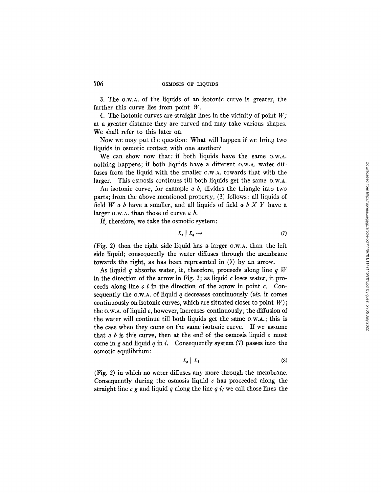3. The o.w.A, of the liquids of an isotonic curve is greater, the farther this curve lies from point W.

4. The isotonic curves are straight lines in the vicinity of point *W;*  at a greater distance they are curved and may take various shapes. We shall refer to this later on.

Now we may put the question: What will happen if we bring two liquids in osmotic contact with one another?

We can show now that: if both liquids have the same o.w.a. nothing happens; if both liquids have a different o.w.a. water diffuses from the liquid with the smaller O.W.A. towards that with the larger. This osmosis continues till both liquids get the same o.w.a.

An isotonic curve, for example *a b,* divides the triangle into two parts; from the above mentioned property, (3) follows: all liquids of field  $W$  a b have a smaller, and all liquids of field a  $b$   $X$   $Y$  have a larger  $o.w.a.$  than those of curve  $a\ b.$ 

If, therefore, we take the osmotic system:

$$
L_c \mid L_q \longrightarrow \tag{7}
$$

(Fig. 2) then the right side liquid has a larger O.W.n. than the left side liquid; consequently the water diffuses through the membrane towards the right, as has been represented in (7) by an arrow.

As liquid q absorbs water, it, therefore, proceeds along line  $q$  W in the direction of the arrow in Fig. 2; as liquid  $c$  loses water, it proceeds along line  $c \, l$  in the direction of the arrow in point  $c$ . Consequently the o.w.a. of liquid  $q$  decreases continuously *(viz.* it comes continuously on isotonic curves, which are situated closer to point  $W$ ; the o.w.a. of liquid c, however, increases continuously; the diffusion of the water will continue till both liquids get the same o.w.A.; this is the case when they come on the same isotonic curve. If we assume that  $a b$  is this curve, then at the end of the osmosis liquid  $c$  must come in g and liquid q in i. Consequently system  $(7)$  passes into the osmotic equilibrium:

$$
L_{g} \mid L_{i} \tag{8}
$$

(Fig. 2) in which no water diffuses any more through the membrane. Consequently during the osmosis liquid  $c$  has proceeded along the straight line  $c$  g and liquid  $q$  along the line  $q$  i; we call those lines the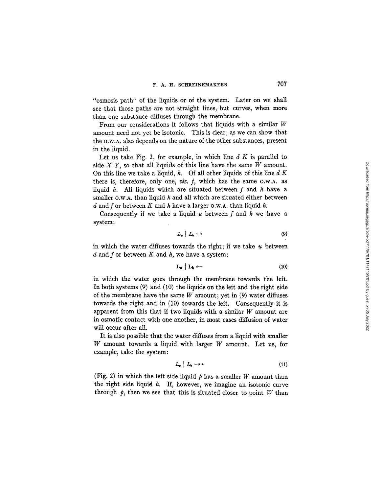"osmosis path" of the liquids or of the system. Later on we shall see that those paths are not straight lines, but curves, when more than one substance diffuses through the membrane.

From our considerations it follows that liquids with a similar  $W$ amount need not yet be isotonic. This is clear; as we can show that the O.W.A. also depends on the nature of the other substances, present in the liquid.

Let us take Fig. 2, for example, in which line  $d K$  is parallel to side  $X$   $Y$ , so that all liquids of this line have the same  $W$  amount. On this line we take a liquid,  $h$ . Of all other liquids of this line  $d K$ there is, therefore, only one, *viz. f*, which has the same O.W.A. as liquid  $h$ . All liquids which are situated between  $f$  and  $h$  have a smaller  $o.w.A.$  than liquid  $h$  and all which are situated either between d and f or between K and h have a larger O.W.A. than liquid h.

Consequently if we take a liquid  $u$  between  $f$  and  $h$  we have a system:

$$
L_u \mid L_h \longrightarrow \tag{9}
$$

in which the water diffuses towards the right; if we take  $u$  between  $d$  and  $f$  or between  $K$  and  $h$ , we have a system:

$$
L_u \mid L_h \leftarrow
$$
 (10)

in which the water goes through the membrane towards the left. In both systems (9) and (10) the liquids on the left and the right side of the membrane have the same  $W$  amount; yet in (9) water diffuses towards the right and in (10) towards the left. Consequently it is apparent from this that if two liquids with a similar  $W$  amount are in osmotic contact with one another, in most cases diffusion of water will occur after all.

It is also possible that the water diffuses from a liquid with smaller W amount towards a liquid with larger W amount. Let us, for example, take the system:

$$
L_p \mid L_h \longrightarrow *) \tag{11}
$$

(Fig. 2) in which the left side liquid  $p$  has a smaller W amount than the right side liquid  $h$ . If, however, we imagine an isotonic curve through  $\dot{p}$ , then we see that this is situated closer to point W than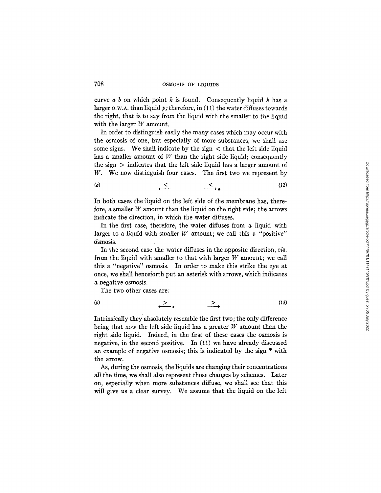curve  $a \, b$  on which point  $h$  is found. Consequently liquid  $h$  has a larger o.w.A, than liquid *p;* therefore, in (11) the water diffuses towards the right, that is to say from the liquid with the smaller to the liquid with the larger  $W$  amount.

In order to distinguish easily the many cases which may occur with the osmosis of one, but especially of more substances, we shall use some signs. We shall indicate by the sign  $\lt$  that the left side liquid has a smaller amount of  $W$  than the right side liquid; consequently the sign  $>$  indicates that the left side liquid has a larger amount of W. We now distinguish four cases. The first two we represent by

$$
\begin{array}{cccc}\n(a) & & & & & & \\
\leftarrow & & & & & \\
\leftarrow & & & & & \\
\hline\n\end{array}
$$
\n
$$
\begin{array}{cccc}\n\leftarrow & & & & & \\
\leftarrow & & & & & \\
\hline\n\end{array}
$$
\n
$$
\begin{array}{cccc}\n\left(12\right) & & & \\
\leftarrow & & & & \\
\hline\n\end{array}
$$

In both cases the liquid on the left side of the membrane has, therefore, a smaller  $W$  amount than the liquid on the right side; the arrows indicate the direction, in which the water diffuses.

In the first case, therefore, the water diffuses from a liquid with larger to a liquid with smaller  $W$  amount; we call this a "positive" osmosis.

In the second case the water diffuses in the opposite direction, *viz.* from the liquid with smaller to that with larger W amount; we call this a "negative" osmosis. In order to make this strike the eye at once, we shall henceforth put an asterisk with arrows, which indicates a negative osmosis.

The two other cases are:

(b) > > (13)

Intrinsically they absolutely resemble the first two; the only difference being that now the left side liquid has a greater W amount than the right side liquid. Indeed, in the first of these cases the osmosis is negative, in the second positive. In (11) we have already discussed an example of negative osmosis; this is indicated by the sign \* with the arrow.

As, during the osmosis, the liquids are changing their concentrations all the time, we shall also represent those changes by schemes. Later on, especially when more substances diffuse, we shall see that this will give us a clear survey. We assume that the liquid on the left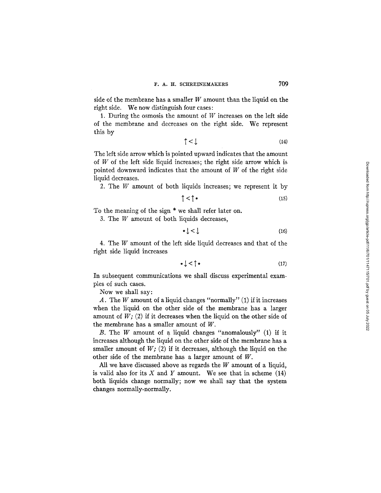side of the membrane has a smaller  $W$  amount than the liquid on the right side. We now distinguish four cases:

1. During the osmosis the amount of  $W$  increases on the left side of the membrane and decreases on the right side. We represent this by

$$
\uparrow \langle \downarrow \rangle \tag{14}
$$

The left side arrow which is pointed upward indicates that the amount of  $W$  of the left side liquid increases; the right side arrow which is pointed downward indicates that the amount of  $W$  of the right side liquid decreases.

2. The  $W$  amount of both liquids increases; we represent it by

$$
\uparrow \langle \uparrow \ast \tag{15}
$$

To the meaning of the sign \* we shall refer later on.

3. The W amount of both liquids decreases,

$$
* \downarrow \langle \downarrow \rangle \tag{16}
$$

4. The W amount of the left side liquid decreases and that of the right side liquid increases

$$
\ast \downarrow \lt \uparrow \ast \tag{17}
$$

In subsequent communications we shall discuss experimental examples of such cases.

Now we shall say:

A. The  $W$  amount of a liquid changes "normally" (1) if it increases when the liquid on the other side of the membrane has a larger amount of  $W$ ; (2) if it decreases when the liquid on the other side of the membrane has a smaller amount of W.

B. The  $W$  amount of a liquid changes "anomalously" (1) if it increases although the liquid on the other side of the membrane has a smaller amount of  $W$ ; (2) if it decreases, although the liquid on the other side of the membrane has a larger amount of  $W$ .

All we have discussed above as regards the  $W$  amount of a liquid, is valid also for its  $X$  and  $Y$  amount. We see that in scheme (14) both liquids change normally; now we shall say that the system changes normally-normally.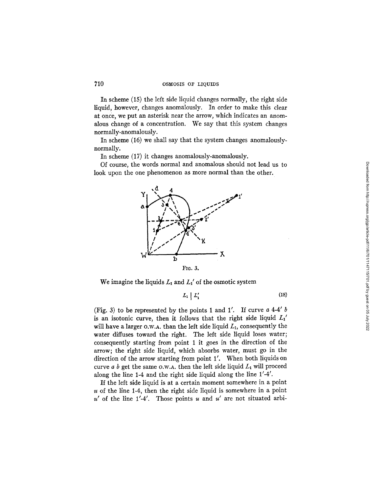In scheme (15) the left side liquid changes normally, the right side liquid, however, changes anomalously. In order to make this clear at once, we put an asterisk near the arrow, which indicates an anomalous change of a concentration. We say that this system changes normally-anomalously.

In scheme (16) we shall say that the system changes anomalouslynormally.

In scheme (17) it changes anomalously-anomalously.

Of course, the words normal and anomalous should not lead us to look upon the one phenomenon as more normal than the other.



We imagine the liquids  $L_1$  and  $L_1'$  of the osmotic system

$$
L_1 \mid L_1' \tag{18}
$$

(Fig. 3) to be represented by the points 1 and 1'. If curve  $a$  4-4'  $b$ is an isotonic curve, then it follows that the right side liquid  $L_1$ <sup>1</sup> will have a larger o.w.A, than the left side liquid  $L_1$ , consequently the water diffuses toward the right. The left side liquid loses water; consequently starting from point 1 it goes in the direction of the arrow; the right side liquid, which absorbs water, must go in the direction of the arrow starting from point  $1'$ . When both liquids on curve  $a$  b get the same o.w.A, then the left side liquid  $L_1$  will proceed along the line 1-4 and the right side liquid along the line  $1'$ -4'.

If the left side liquid is at a certain moment somewhere in a point  $u$  of the line 1-4, then the right side liquid is somewhere in a point  $u'$  of the line 1'-4'. Those points u and u' are not situated arbiDownloaded from http://rupress.org/gp/article-pdf/11/6/701/1147115/701.pdf by guest on 05 July 2022 Downloaded from http://rupress.org/jgp/article-pdf/11/6/701/1147115/701.pdf by guest on 05 July 2022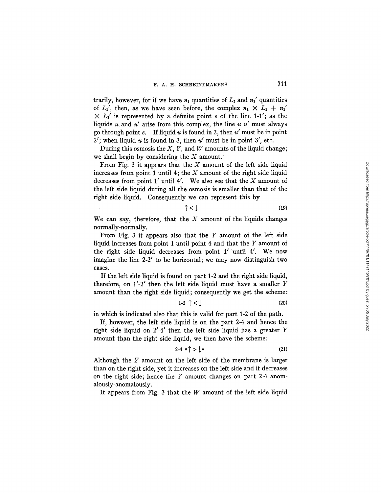trarily, however, for if we have  $n_1$  quantities of  $L_t$  and  $n_1$ ' quantities of  $L_1'$ , then, as we have seen before, the complex  $n_1 \times L_1 + n_1'$  $\times L_1'$  is represented by a definite point e of the line 1-1'; as the liquids u and u' arise from this complex, the line u u' must always go through point e. If liquid u is found in 2, then  $u'$  must be in point 2'; when liquid u is found in 3, then  $u'$  must be in point 3', etc.

During this osmosis the  $X$ ,  $Y$ , and  $W$  amounts of the liquid change; we shall begin by considering the  $X$  amount.

From Fig. 3 it appears that the  $X$  amount of the left side liquid increases from point 1 until 4; the  $X$  amount of the right side liquid decreases from point  $1'$  until  $4'$ . We also see that the X amount of the left side liquid during all the osmosis is smaller than that of the right side liquid. Consequently we can represent this by

$$
\uparrow \langle \downarrow \tag{19}
$$

We can say, therefore, that the  $X$  amount of the liquids changes normally-normally.

From Fig. 3 it appears also that the  $Y$  amount of the left side liquid increases from point 1 until point 4 and that the Y amount of the right side liquid decreases from point  $1'$  until  $4'$ . We now imagine the line  $2-2'$  to be horizontal; we may now distinguish two cases.

If the left side liquid is found on part I-2 and the right side liquid, therefore, on  $1'$ -2' then the left side liquid must have a smaller Y amount than the right side liquid; consequently we get the scheme:

$$
1-2 \uparrow < \downarrow \tag{20}
$$

in which is indicated also that this is valid for part 1-2 of the path.

If, however, the left side liquid is on the part 2-4 and hence the right side liquid on  $2'$ -4' then the left side liquid has a greater Y amount than the right side liquid, we then have the scheme:

$$
2-4 \cdot \uparrow > \downarrow \ast \tag{21}
$$

Although the Y amount on the left side of the membrane is larger than on the right side, yet it increases on the left side and it decreases on the right side; hence the  $Y$  amount changes on part 2-4 anomalously-anomalously.

It appears from Fig. 3 that the W amount of the left side liquid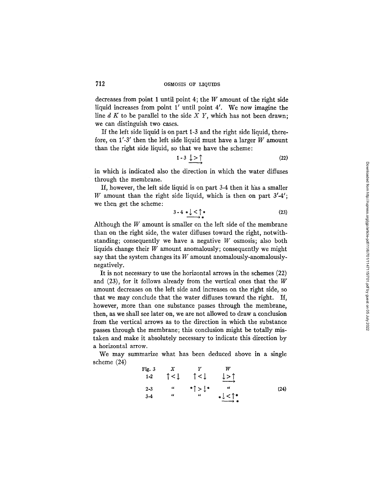decreases from point 1 until point 4; the  $W$  amount of the right side liquid increases from point 1' until point 4'. We now imagine the line d K to be parallel to the side *X Y,* which has not been drawn; we can distinguish two cases.

If the left side liquid is on part 1-3 and the right side liquid, therefore, on  $1'$ -3' then the left side liquid must have a larger W amount than the right side liquid, so that we have the scheme:

$$
1-3 \downarrow > \uparrow \tag{22}
$$

in which is indicated also the direction in which the water diffuses through the membrane.

If, however, the left side liquid is on part 3-4 then it has a smaller W amount than the right side liquid, which is then on part  $3'$ -4'; we then get the scheme:

$$
3-4 \xrightarrow{\ast} \downarrow \leq \uparrow \ast
$$
 (23)

Although the  $W$  amount is smaller on the left side of the membrane than on the right side, the water diffuses toward the right, notwithstanding; consequently we have a negative  $W$  osmosis; also both liquids change their  $W$  amount anomalously; consequently we might say that the system changes its  $W$  amount anomalously-anomalouslynegatively.

It is not necessary to use the horizontal arrows in the schemes (22) and (23), for it follows already from the vertical ones that the W amount decreases on the left side and increases on the right side, so that we may conclude that the water diffuses toward the right. If, however, more than one substance passes through the membrane, then, as we shall see later on, we are not allowed to draw a conclusion from the vertical arrows as to the direction in which the substance passes through the membrane; this conclusion might be totally mistaken and make it absolutely necessary to indicate this direction by a horizontal arrow.

We may summarize what has been deduced above in a single scheme (24)

Fig. 3 X Y W  
\n1-2 
$$
\uparrow
$$
  $\langle \downarrow \rangle$   $\uparrow$  W  
\n2-3  $\cdots$   $\uparrow$   $\rangle$   $\downarrow$   $\rangle$   $\uparrow$  (24)